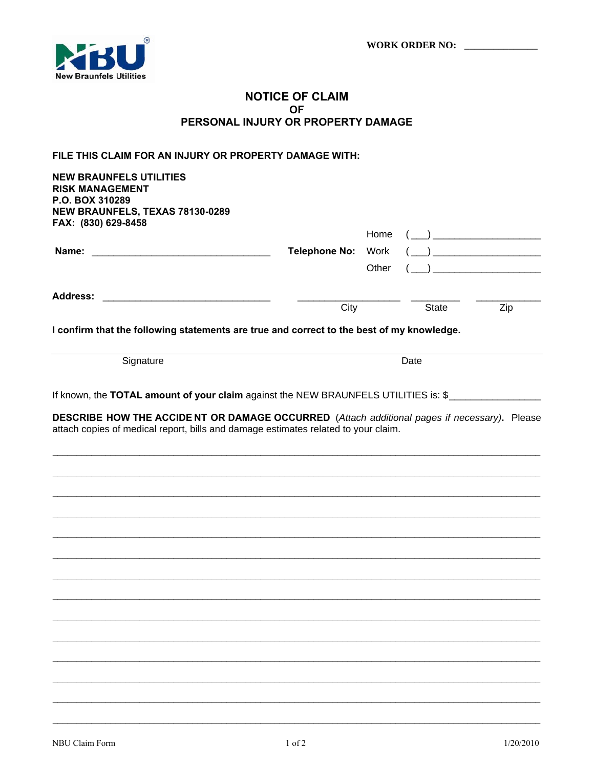

## **NOTICE OF CLAIM OF** PERSONAL INJURY OR PROPERTY DAMAGE

## FILE THIS CLAIM FOR AN INJURY OR PROPERTY DAMAGE WITH:

**NEW BRAUNFELS UTILITIES RISK MANAGEMENT** P.O. BOX 310289 NEW BRAUNFELS, TEXAS 78130-0289 FAX: (830) 629-8458

| <b>Address:</b><br><u> 1980 - Jan Barat, margaret al II-lea (b. 1980)</u> | City | <b>State</b> | Zip |
|---------------------------------------------------------------------------|------|--------------|-----|
|                                                                           |      |              |     |
| Name:                                                                     |      |              |     |
|                                                                           |      |              |     |

I confirm that the following statements are true and correct to the best of my knowledge.

Signature

Date

If known, the TOTAL amount of your claim against the NEW BRAUNFELS UTILITIES is: \$

DESCRIBE HOW THE ACCIDE NT OR DAMAGE OCCURRED (Attach additional pages if necessary). Please attach copies of medical report, bills and damage estimates related to your claim.